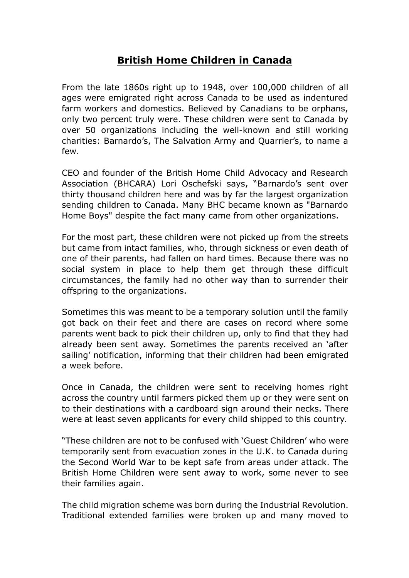## **British Home Children in Canada**

From the late 1860s right up to 1948, over 100,000 children of all ages were emigrated right across Canada to be used as indentured farm workers and domestics. Believed by Canadians to be orphans, only two percent truly were. These children were sent to Canada by over 50 organizations including the well-known and still working charities: Barnardo's, The Salvation Army and Quarrier's, to name a few.

CEO and founder of the British Home Child Advocacy and Research Association (BHCARA) Lori Oschefski says, "Barnardo's sent over thirty thousand children here and was by far the largest organization sending children to Canada. Many BHC became known as "Barnardo Home Boys" despite the fact many came from other organizations.

For the most part, these children were not picked up from the streets but came from intact families, who, through sickness or even death of one of their parents, had fallen on hard times. Because there was no social system in place to help them get through these difficult circumstances, the family had no other way than to surrender their offspring to the organizations.

Sometimes this was meant to be a temporary solution until the family got back on their feet and there are cases on record where some parents went back to pick their children up, only to find that they had already been sent away. Sometimes the parents received an 'after sailing' notification, informing that their children had been emigrated a week before.

Once in Canada, the children were sent to receiving homes right across the country until farmers picked them up or they were sent on to their destinations with a cardboard sign around their necks. There were at least seven applicants for every child shipped to this country.

"These children are not to be confused with 'Guest Children' who were temporarily sent from evacuation zones in the U.K. to Canada during the Second World War to be kept safe from areas under attack. The British Home Children were sent away to work, some never to see their families again.

The child migration scheme was born during the Industrial Revolution. Traditional extended families were broken up and many moved to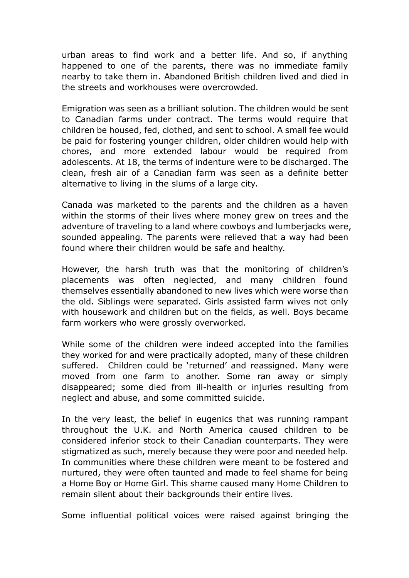urban areas to find work and a better life. And so, if anything happened to one of the parents, there was no immediate family nearby to take them in. Abandoned British children lived and died in the streets and workhouses were overcrowded.

Emigration was seen as a brilliant solution. The children would be sent to Canadian farms under contract. The terms would require that children be housed, fed, clothed, and sent to school. A small fee would be paid for fostering younger children, older children would help with chores, and more extended labour would be required from adolescents. At 18, the terms of indenture were to be discharged. The clean, fresh air of a Canadian farm was seen as a definite better alternative to living in the slums of a large city.

Canada was marketed to the parents and the children as a haven within the storms of their lives where money grew on trees and the adventure of traveling to a land where cowboys and lumberjacks were, sounded appealing. The parents were relieved that a way had been found where their children would be safe and healthy.

However, the harsh truth was that the monitoring of children's placements was often neglected, and many children found themselves essentially abandoned to new lives which were worse than the old. Siblings were separated. Girls assisted farm wives not only with housework and children but on the fields, as well. Boys became farm workers who were grossly overworked.

While some of the children were indeed accepted into the families they worked for and were practically adopted, many of these children suffered. Children could be 'returned' and reassigned. Many were moved from one farm to another. Some ran away or simply disappeared; some died from ill-health or injuries resulting from neglect and abuse, and some committed suicide.

In the very least, the belief in eugenics that was running rampant throughout the U.K. and North America caused children to be considered inferior stock to their Canadian counterparts. They were stigmatized as such, merely because they were poor and needed help. In communities where these children were meant to be fostered and nurtured, they were often taunted and made to feel shame for being a Home Boy or Home Girl. This shame caused many Home Children to remain silent about their backgrounds their entire lives.

Some influential political voices were raised against bringing the